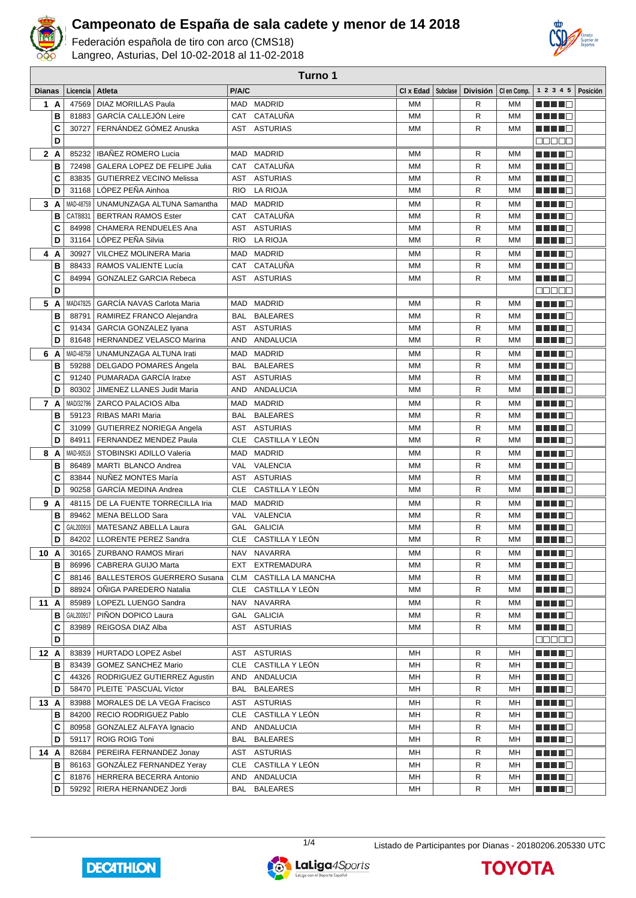

**Turno 1**

Federación española de tiro con arco (CMS18) Langreo, Asturias, Del 10-02-2018 al 11-02-2018



| <b>Dianas</b> |        | Licencia           | Atleta                                                       | P/A/C      |                                           | CI x Edad       | Subclase | <b>División</b>   | CI en Comp.            | $1 2 3 4 5$ Posición                                                                                                                                                                             |  |
|---------------|--------|--------------------|--------------------------------------------------------------|------------|-------------------------------------------|-----------------|----------|-------------------|------------------------|--------------------------------------------------------------------------------------------------------------------------------------------------------------------------------------------------|--|
|               | 1 A    | 47569              | <b>DIAZ MORILLAS Paula</b>                                   |            | MAD MADRID                                | MM              |          | R                 | MM                     |                                                                                                                                                                                                  |  |
|               | в      | 81883              | GARCÍA CALLEJÓN Leire                                        |            | CAT CATALUÑA                              | МM              |          | R                 | MM                     | <u> De la Britannia de la Britannia de la Britannia de la Britannia de la Britannia de la Britannia de la Britannia de la Britannia de la Britannia de la Britannia de la Britannia de la Br</u> |  |
|               | C      | 30727              | FERNÁNDEZ GÓMEZ Anuska                                       |            | AST ASTURIAS                              | MM              |          | R                 | МM                     |                                                                                                                                                                                                  |  |
|               | D      |                    |                                                              |            |                                           |                 |          |                   |                        | <b>00000</b>                                                                                                                                                                                     |  |
|               | 2A     | 85232              | <b>IBAÑEZ ROMERO Lucia</b>                                   |            | MAD MADRID                                | MM              |          | R                 | MM                     | MA MAD                                                                                                                                                                                           |  |
|               | в      | 72498              | GALERA LOPEZ DE FELIPE Julia                                 | CAT        | CATALUÑA                                  | <b>MM</b>       |          | R                 | MM                     |                                                                                                                                                                                                  |  |
|               | C      | 83835              | <b>GUTIERREZ VECINO Melissa</b>                              |            | AST ASTURIAS                              | <b>MM</b>       |          | R                 | <b>MM</b>              | a di Bar                                                                                                                                                                                         |  |
|               | D      | 31168              | LÓPEZ PEÑA Ainhoa                                            | <b>RIO</b> | <b>LA RIOJA</b>                           | MM              |          | R                 | <b>MM</b>              | <u> Herman Se</u>                                                                                                                                                                                |  |
|               | 3A     | MAD-48759          | UNAMUNZAGA ALTUNA Samantha                                   | MAD        | <b>MADRID</b>                             | МM              |          | R                 | <b>MM</b>              | MA MARIT                                                                                                                                                                                         |  |
|               | в      | CAT8831            | <b>BERTRAN RAMOS Ester</b>                                   | CAT        | CATALUÑA                                  | MM              |          | R                 | <b>MM</b>              | MAN ME                                                                                                                                                                                           |  |
|               | C      | 84998              | CHAMERA RENDUELES Ana                                        | AST        | <b>ASTURIAS</b>                           | MM              |          | R                 | <b>MM</b>              | MA MAR                                                                                                                                                                                           |  |
|               | D      | 31164              | LÓPEZ PEÑA Silvia                                            | <b>RIO</b> | LA RIOJA                                  | MM              |          | R                 | MM                     | <u> Here al B</u>                                                                                                                                                                                |  |
| 4             | A      | 30927              | VILCHEZ MOLINERA Maria                                       | MAD        | <b>MADRID</b>                             | МM              |          | R                 | <b>MM</b>              | M M M M M                                                                                                                                                                                        |  |
|               | в      | 88433              | RAMOS VALIENTE Lucía                                         | CAT        | CATALUÑA                                  | MM              |          | R                 | MM                     | a da da ba                                                                                                                                                                                       |  |
|               | C      | 84994              | <b>GONZALEZ GARCIA Rebeca</b>                                | AST        | ASTURIAS                                  | <b>MM</b>       |          | R                 | <b>MM</b>              | a da da ba                                                                                                                                                                                       |  |
|               | D      |                    |                                                              |            |                                           |                 |          |                   |                        | an de E                                                                                                                                                                                          |  |
|               | 5 A    | MAD47825           | <b>GARCÍA NAVAS Carlota Maria</b>                            | MAD        | <b>MADRID</b>                             | МM              |          | R                 | МM                     | HH 18                                                                                                                                                                                            |  |
|               | B      | 88791              | RAMIREZ FRANCO Alejandra                                     | <b>BAL</b> | <b>BALEARES</b>                           | <b>MM</b>       |          | R                 | MM                     | a di se                                                                                                                                                                                          |  |
|               | C      | 91434              | GARCIA GONZALEZ Iyana                                        |            | AST ASTURIAS                              | MM              |          | R                 | MM                     |                                                                                                                                                                                                  |  |
|               | D      | 81648              | HERNANDEZ VELASCO Marina                                     | AND        | ANDALUCIA                                 | <b>MM</b>       |          | R                 | MM                     | a di se                                                                                                                                                                                          |  |
|               |        | MAD-48758          | UNAMUNZAGA ALTUNA Irati                                      | MAD        | <b>MADRID</b>                             | MM              |          | R                 | MM                     |                                                                                                                                                                                                  |  |
| 6             | A<br>в | 59288              | DELGADO POMARES Ángela                                       | <b>BAL</b> | <b>BALEARES</b>                           | MM              |          | R                 | MM                     | a da da ba<br><u> De la Ba</u>                                                                                                                                                                   |  |
|               | C      | 91240              | PUMARADA GARCÍA Iratxe                                       | AST        | ASTURIAS                                  | MM              |          | R                 | MM                     | <u> HILLE</u>                                                                                                                                                                                    |  |
|               | D      | 80302              | JIMENEZ LLANES Judit Maria                                   | AND        | ANDALUCIA                                 | MM              |          | R                 | MM                     | <u> De la Britannia de la Britannia de la Britannia de la Britannia de la Britannia de la Britannia de la Britannia de la Britannia de la Britannia de la Britannia de la Britannia de la Br</u> |  |
|               |        |                    |                                                              |            |                                           |                 |          |                   |                        |                                                                                                                                                                                                  |  |
|               | 7 A    |                    | MAD/32796   ZARCO PALACIOS Alba                              |            | MAD MADRID                                | МM<br><b>MM</b> |          | R                 | ΜМ                     | a da da b                                                                                                                                                                                        |  |
|               | в      | 59123              | <b>RIBAS MARI Maria</b>                                      | BAL        | <b>BALEARES</b>                           |                 |          | R<br>$\mathsf{R}$ | MM                     | a da da bin                                                                                                                                                                                      |  |
|               | c<br>D | 31099<br>84911     | GUTIERREZ NORIEGA Angela<br>FERNANDEZ MENDEZ Paula           | <b>CLE</b> | AST ASTURIAS<br>CASTILLA Y LEÓN           | <b>MM</b><br>MM |          | R                 | <b>MM</b><br><b>MM</b> | a di Bandar                                                                                                                                                                                      |  |
|               |        |                    |                                                              |            |                                           |                 |          |                   |                        | <u> Herman St</u>                                                                                                                                                                                |  |
|               | 8 A    | MAD-90516          | STOBINSKI ADILLO Valeria                                     | MAD        | <b>MADRID</b>                             | МM              |          | R                 | <b>MM</b>              | a da da b                                                                                                                                                                                        |  |
|               | в      | 86489<br>83844     | MARTI BLANCO Andrea<br>NUÑEZ MONTES María                    | VAL<br>AST | VALENCIA<br><b>ASTURIAS</b>               | <b>MM</b><br>MM |          | R<br>R            | <b>MM</b><br><b>MM</b> | MAN ME                                                                                                                                                                                           |  |
|               | C<br>D | 90258              | GARCÍA MEDINA Andrea                                         | CLE        | CASTILLA Y LEÓN                           | MM              |          | R                 | MM                     | a da da ba<br>a da da ba                                                                                                                                                                         |  |
|               |        |                    |                                                              |            |                                           |                 |          |                   |                        |                                                                                                                                                                                                  |  |
|               | 9 A    | 48115              | DE LA FUENTE TORRECILLA Iria<br>MENA BELLOD Sara             | MAD        | <b>MADRID</b>                             | МM              |          | R                 | МM                     | <b>REBED</b>                                                                                                                                                                                     |  |
|               | в      | 89462              | MATESANZ ABELLA Laura                                        | <b>VAL</b> | VALENCIA<br>GAL GALICIA                   | MM              |          | R                 | MM                     | <u> Here i Se</u>                                                                                                                                                                                |  |
|               | C<br>D | GAL200916<br>84202 | <b>LLORENTE PEREZ Sandra</b>                                 |            | CLE CASTILLA Y LEÓN                       | MM<br>MM        |          | R<br>$\mathsf{R}$ | MM<br>MM               | a da da ba<br>n in Tim                                                                                                                                                                           |  |
|               |        |                    |                                                              |            |                                           |                 |          |                   |                        |                                                                                                                                                                                                  |  |
| 10 A          |        |                    | 30165   ZURBANO RAMOS Mirari                                 |            | NAV NAVARRA                               | МM              |          | R                 | <b>MM</b>              | a di Barca                                                                                                                                                                                       |  |
|               | в      |                    | 86996   CABRERA GUIJO Marta                                  | EXT        | <b>EXTREMADURA</b>                        | МM              |          | R                 | МM                     | <u> Helena e</u>                                                                                                                                                                                 |  |
|               | С<br>D | 88146<br>88924     | <b>BALLESTEROS GUERRERO Susana</b><br>ONIGA PAREDERO Natalia | CLM        | CASTILLA LA MANCHA<br>CLE CASTILLA Y LEÓN | МM<br>МM        |          | R<br>R            | МM<br>МM               | <u> Literatura de la </u>                                                                                                                                                                        |  |
|               |        |                    |                                                              |            |                                           |                 |          |                   |                        |                                                                                                                                                                                                  |  |
| 11 A          |        | 85989              | LOPEZL LUENGO Sandra                                         |            | NAV NAVARRA                               | MМ              |          | R                 | МM                     | <u> Literatur</u>                                                                                                                                                                                |  |
|               | в      | GAL200917          | PIÑON DOPICO Laura                                           |            | GAL GALICIA                               | МM              |          | R                 | МM                     | <u> Here al Ba</u>                                                                                                                                                                               |  |
|               | C<br>D | 83989              | REIGOSA DIAZ Alba                                            |            | AST ASTURIAS                              | МM              |          | R                 | МM                     | <u> Here i sv</u><br>Maaaa                                                                                                                                                                       |  |
|               |        |                    |                                                              |            |                                           |                 |          |                   |                        |                                                                                                                                                                                                  |  |
| 12A           |        |                    | 83839 HURTADO LOPEZ Asbel                                    |            | AST ASTURIAS                              | MН              |          | R                 | MН                     | <u> Heleta e</u>                                                                                                                                                                                 |  |
|               | В      | 83439              | <b>GOMEZ SANCHEZ Mario</b>                                   |            | CLE CASTILLA Y LEÓN                       | MН              |          | R                 | MН                     | MAN DI L                                                                                                                                                                                         |  |
|               | C<br>D | 44326<br>58470     | RODRIGUEZ GUTIERREZ Agustin<br>PLEITE `PASCUAL Víctor        | BAL        | AND ANDALUCIA<br><b>BALEARES</b>          | MН<br>MН        |          | R<br>R            | MН<br>MН               | <u> Literatur in Se</u>                                                                                                                                                                          |  |
|               |        |                    |                                                              |            |                                           |                 |          |                   |                        | <u> Karl III di</u>                                                                                                                                                                              |  |
| 13 A          |        | 83988              | MORALES DE LA VEGA Fracisco                                  |            | AST ASTURIAS                              | MН              |          | R                 | MН                     | Martin Ba                                                                                                                                                                                        |  |
|               | В      | 84200              | RECIO RODRIGUEZ Pablo                                        |            | CLE CASTILLA Y LEÓN                       | MН              |          | R                 | MН                     | <u> Hell</u> E                                                                                                                                                                                   |  |
|               | C      | 80958              | GONZALEZ ALFAYA Ignacio                                      |            | AND ANDALUCIA                             | MН              |          | R                 | MН                     | MA MAR                                                                                                                                                                                           |  |
|               | D      | 59117              | <b>ROIG ROIG Toni</b>                                        | BAL        | <b>BALEARES</b>                           | МH              |          | R                 | MН                     | <u> Helio El</u>                                                                                                                                                                                 |  |
| 14 A          |        | 82684              | PEREIRA FERNANDEZ Jonay                                      | AST        | <b>ASTURIAS</b>                           | MН              |          | R                 | MН                     | an di Ba                                                                                                                                                                                         |  |
|               | В      | 86163              | <b>GONZALEZ FERNANDEZ Yeray</b>                              |            | CLE CASTILLA Y LEÓN                       | MН              |          | R                 | MН                     |                                                                                                                                                                                                  |  |
|               | C      |                    | 81876   HERRERA BECERRA Antonio                              |            | AND ANDALUCIA                             | MН              |          | R                 | MН                     | <u> Here al III de la pro</u>                                                                                                                                                                    |  |
|               | D      |                    | 59292   RIERA HERNANDEZ Jordi                                | BAL        | <b>BALEARES</b>                           | MН              |          | R                 | MН                     | <u> Here a s</u>                                                                                                                                                                                 |  |



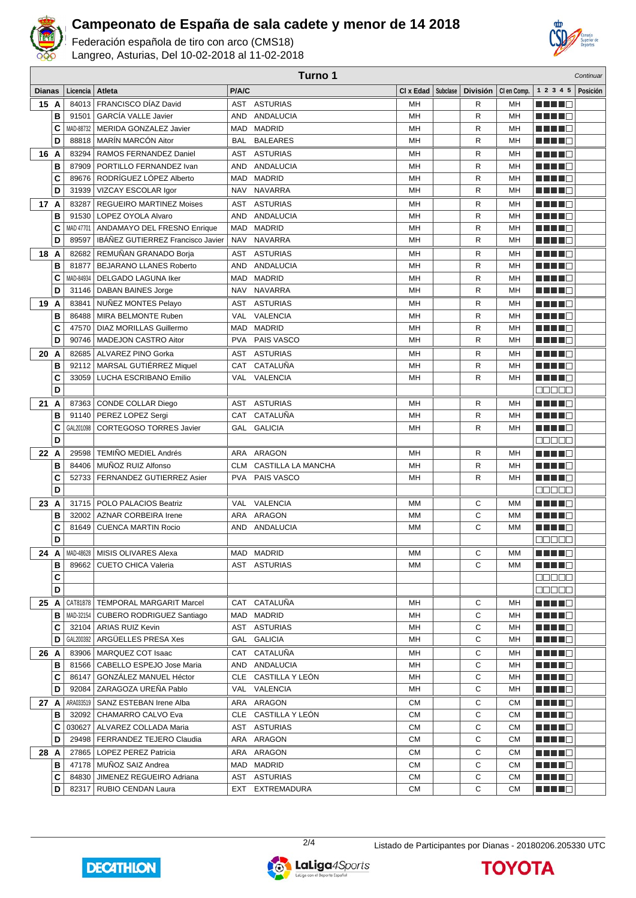

Federación española de tiro con arco (CMS18) Langreo, Asturias, Del 10-02-2018 al 11-02-2018



|               |        | Turno 1<br>Continuar |                                     |            |                     |           |          |                 |             |                                                                                                                       |          |
|---------------|--------|----------------------|-------------------------------------|------------|---------------------|-----------|----------|-----------------|-------------|-----------------------------------------------------------------------------------------------------------------------|----------|
| <b>Dianas</b> |        | Licencia             | Atleta                              | P/A/C      |                     | CI x Edad | Subclase | <b>División</b> | CI en Comp. | 1 2 3 4 5                                                                                                             | Posición |
| 15 A          |        | 84013                | FRANCISCO DÍAZ David                | AST        | ASTURIAS            | MH        |          | R               | MН          |                                                                                                                       |          |
|               | B      | 91501                | <b>GARCÍA VALLE Javier</b>          | <b>AND</b> | ANDALUCIA           | MH        |          | $\mathsf{R}$    | MH          | ----                                                                                                                  |          |
|               | C      | MAD-88732            | <b>MERIDA GONZALEZ Javier</b>       |            | MAD MADRID          | MH        |          | R               | MH          | <u> El Bertaldo de </u>                                                                                               |          |
|               | D      | 88818                | MARÍN MARCÓN Aitor                  | BAL        | <b>BALEARES</b>     | MН        |          | R               | MН          | MA ME                                                                                                                 |          |
| 16 A          |        | 83294                | RAMOS FERNANDEZ Daniel              | AST        | <b>ASTURIAS</b>     | MН        |          | R               | MН          |                                                                                                                       |          |
|               | B      | 87909                | PORTILLO FERNANDEZ Ivan             | AND        | ANDALUCIA           | MH        |          | $\mathsf{R}$    | MH          | M M M M M                                                                                                             |          |
|               | C      | 89676                | RODRÍGUEZ LÓPEZ Alberto             | <b>MAD</b> | <b>MADRID</b>       | MH        |          | $\mathsf{R}$    | MH          | n din din k                                                                                                           |          |
|               | D      | 31939                | VIZCAY ESCOLAR Igor                 | <b>NAV</b> | <b>NAVARRA</b>      | MH        |          | R               | MH          | a da da G                                                                                                             |          |
| 17 A          |        | 83287                | <b>REGUEIRO MARTINEZ Moises</b>     | <b>AST</b> | <b>ASTURIAS</b>     | MH        |          | $\mathsf{R}$    | MH          | M TIMO                                                                                                                |          |
|               |        | 91530                | LOPEZ OYOLA Alvaro                  | <b>AND</b> | ANDALUCIA           | MH        |          | R               | MH          |                                                                                                                       |          |
|               | в      |                      |                                     |            |                     |           |          |                 |             | MA TITLE                                                                                                              |          |
|               | C      | MAD 47701            | ANDAMAYO DEL FRESNO Enrique         | MAD        | <b>MADRID</b>       | MH        |          | R               | MH          | 1           <b>   </b>                                                                                                |          |
|               | D      | 89597                | IBÁÑEZ GUTIERREZ Francisco Javier   | <b>NAV</b> | <b>NAVARRA</b>      | MH        |          | R               | MН          | HH 10                                                                                                                 |          |
| 18 A          |        | 82682                | REMUÑAN GRANADO Borja               | AST        | <b>ASTURIAS</b>     | MН        |          | R               | MН          | n in Fin                                                                                                              |          |
|               | в      | 81877                | <b>BEJARANO LLANES Roberto</b>      | <b>AND</b> | <b>ANDALUCIA</b>    | MH        |          | R               | MH          | H H H O                                                                                                               |          |
|               | C      | MAD-84934            | DELGADO LAGUNA Iker                 |            | MAD MADRID          | MH        |          | R               | MH          |                                                                                                                       |          |
|               | D      | 31146                | <b>DABAN BAINES Jorge</b>           | NAV        | <b>NAVARRA</b>      | MH        |          | R               | MH          |                                                                                                                       |          |
| 19 A          |        | 83841                | NUÑEZ MONTES Pelayo                 | AST        | <b>ASTURIAS</b>     | MH        |          | R               | MH          | n di Tinggi                                                                                                           |          |
|               | в      | 86488                | MIRA BELMONTE Ruben                 | VAL        | <b>VALENCIA</b>     | MH        |          | $\mathsf{R}$    | MH          | ME E E A                                                                                                              |          |
|               | C      | 47570                | <b>DIAZ MORILLAS Guillermo</b>      |            | MAD MADRID          | MH        |          | $\mathsf{R}$    | MH          | -----                                                                                                                 |          |
|               | D      | 90746                | MADEJON CASTRO Aitor                | <b>PVA</b> | PAIS VASCO          | MH        |          | R               | MH          |                                                                                                                       |          |
| 20 A          |        | 82685                | <b>ALVAREZ PINO Gorka</b>           | AST        | <b>ASTURIAS</b>     | MН        |          | R               | MН          |                                                                                                                       |          |
|               | в      | 92112                | MARSAL GUTIÉRREZ Miquel             | <b>CAT</b> | CATALUÑA            | MH        |          | $\mathsf{R}$    | MH          | a kata ing P                                                                                                          |          |
|               | C      | 33059                | LUCHA ESCRIBANO Emilio              |            | VAL VALENCIA        | MH        |          | R               | MH          | H H H O                                                                                                               |          |
|               | D      |                      |                                     |            |                     |           |          |                 |             | eesee                                                                                                                 |          |
| 21 A          |        | 87363                | CONDE COLLAR Diego                  | AST        | <b>ASTURIAS</b>     | MН        |          | R               | MН          | H I I I                                                                                                               |          |
|               | B      | 91140                | PEREZ LOPEZ Sergi                   | <b>CAT</b> | CATALUÑA            | MH        |          | $\mathsf{R}$    | MH          | n din Fin                                                                                                             |          |
|               | C      | GAL201098            | <b>CORTEGOSO TORRES Javier</b>      | <b>GAL</b> | <b>GALICIA</b>      | MH        |          | $\mathsf{R}$    | MН          | a di Bandar                                                                                                           |          |
|               | D      |                      |                                     |            |                     |           |          |                 |             | a a a a a                                                                                                             |          |
| 22 A          |        | 29598                | <b>TEMIÑO MEDIEL Andrés</b>         |            | ARA ARAGON          | MH        |          | R               | MН          | MA MARIT                                                                                                              |          |
|               | в      | 84406                | MUÑOZ RUIZ Alfonso                  | <b>CLM</b> | CASTILLA LA MANCHA  | MH        |          | R               | MH          | n din D                                                                                                               |          |
|               | C      | 52733                | FERNANDEZ GUTIERREZ Asier           | PVA        | PAIS VASCO          | MH        |          | R               | MH          | n in Fil                                                                                                              |          |
|               | D      |                      |                                     |            |                     |           |          |                 |             | e de e e                                                                                                              |          |
| 23 A          |        |                      | 31715   POLO PALACIOS Beatriz       |            | VAL VALENCIA        | MM        |          | С               | ΜМ          | MA MARIT                                                                                                              |          |
|               | в      | 32002                | <b>AZNAR CORBEIRA Irene</b>         |            | ARA ARAGON          | <b>MM</b> |          | С               | <b>MM</b>   | M TIMO                                                                                                                |          |
|               | C      | 81649                | <b>CUENCA MARTIN Rocio</b>          |            | AND ANDALUCIA       | МM        |          | C               | MM          |                                                                                                                       |          |
|               | D      |                      |                                     |            |                     |           |          |                 |             | e e e e e                                                                                                             |          |
| 24 A          |        |                      | MAD-48628   MISIS OLIVARES Alexa    |            | MAD MADRID          | МM        |          | С               | мм          | <u> Here i Se</u>                                                                                                     |          |
|               | В      | 89662                | <b>CUETO CHICA Valeria</b>          |            | AST ASTURIAS        | MМ        |          | С               | МM          | <u> Literatur – Literatur – Literatur – Literatur – Literatur – Literatur – Literatur – Literatur – Literatur – L</u> |          |
|               | С      |                      |                                     |            |                     |           |          |                 |             | ME E E E                                                                                                              |          |
|               | D      |                      |                                     |            |                     |           |          |                 |             | 88888                                                                                                                 |          |
| 25 A          |        |                      | CAT81878   TEMPORAL MARGARIT Marcel |            | CAT CATALUÑA        | MН        |          | С               | MН          | <u> Literatur</u>                                                                                                     |          |
|               | в      | MAD-32154            | CUBERO RODRIGUEZ Santiago           |            | MAD MADRID          | MН        |          | С               | MН          |                                                                                                                       |          |
|               | C      | 32104                | <b>ARIAS RUIZ Kevin</b>             |            | AST ASTURIAS        | MН        |          | С               | MН          | <u> Literatur – </u>                                                                                                  |          |
|               | D      | GAL200392            | ARGÜELLES PRESA Xes                 |            | GAL GALICIA         | MН        |          | С               | MН          | MA MARIT                                                                                                              |          |
| 26 A          |        | 83906                | MARQUEZ COT Isaac                   |            | CAT CATALUÑA        | MН        |          | С               | MН          | HH 11                                                                                                                 |          |
|               |        |                      | 81566   CABELLO ESPEJO Jose Maria   |            | AND ANDALUCIA       | MН        |          | C               | MН          |                                                                                                                       |          |
|               | в<br>C | 86147                | GONZÁLEZ MANUEL Héctor              |            | CLE CASTILLA Y LEÓN | MН        |          | С               |             | <u> E Ser</u><br><u> Literatur in Se</u>                                                                              |          |
|               | D      | 92084                | <b>ZARAGOZA UREÑA Pablo</b>         |            | VAL VALENCIA        | MН        |          | С               | MН<br>MН    |                                                                                                                       |          |
|               |        |                      |                                     |            |                     |           |          |                 |             | <u>Little D</u>                                                                                                       |          |
| 27 A          |        | ARA033519            | SANZ ESTEBAN Irene Alba             |            | ARA ARAGON          | <b>CM</b> |          | С               | <b>CM</b>   | Martin Ba                                                                                                             |          |
|               | в      |                      | 32092   CHAMARRO CALVO Eva          |            | CLE CASTILLA Y LEÓN | <b>CM</b> |          | С               | <b>CM</b>   | ME NEG                                                                                                                |          |
|               | C      | 030627               | ALVAREZ COLLADA Maria               |            | AST ASTURIAS        | <b>CM</b> |          | С               | <b>CM</b>   | <u>Lihat dan</u>                                                                                                      |          |
|               | D      |                      | 29498   FERRANDEZ TEJERO Claudia    |            | ARA ARAGON          | <b>CM</b> |          | С               | <b>CM</b>   | <u>Literatur</u>                                                                                                      |          |
| 28 A          |        |                      | 27865   LOPEZ PEREZ Patricia        |            | ARA ARAGON          | <b>CM</b> |          | С               | <b>CM</b>   | a da kafi                                                                                                             |          |
|               | в      |                      | 47178   MUÑOZ SAIZ Andrea           |            | MAD MADRID          | СM        |          | С               | <b>CM</b>   | <u>Literatur</u>                                                                                                      |          |
|               | C      |                      | 84830   JIMENEZ REGUEIRO Adriana    |            | AST ASTURIAS        | СM        |          | С               | <b>CM</b>   | <u> Literatura de la </u>                                                                                             |          |
|               | D      |                      | 82317   RUBIO CENDAN Laura          |            | EXT EXTREMADURA     | СM        |          | С               | <b>CM</b>   | MA MAG                                                                                                                |          |



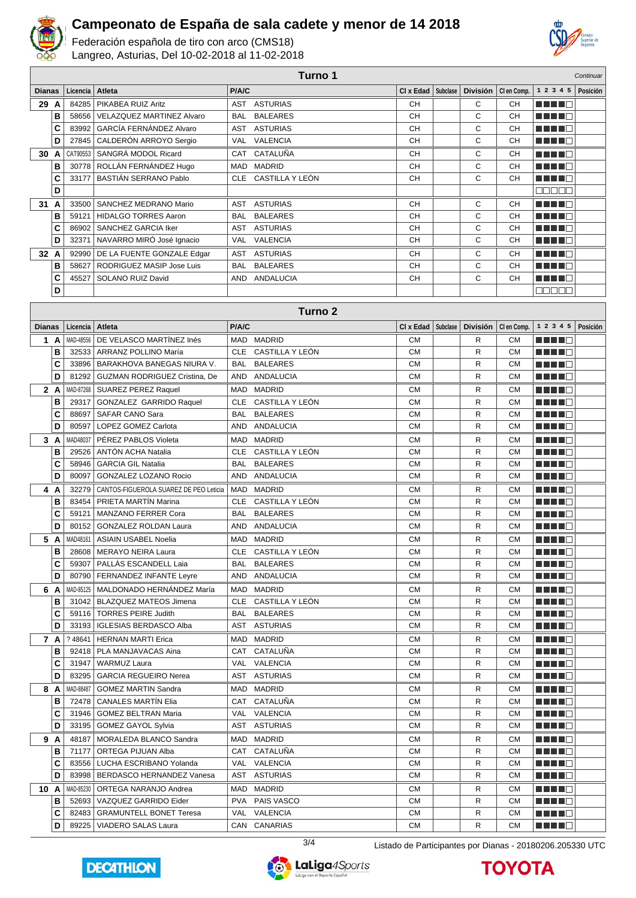

Federación española de tiro con arco (CMS18) Langreo, Asturias, Del 10-02-2018 al 11-02-2018



| Turno 1       |     |           |                                        |              | Continuar           |                      |  |                 |                                               |                           |          |
|---------------|-----|-----------|----------------------------------------|--------------|---------------------|----------------------|--|-----------------|-----------------------------------------------|---------------------------|----------|
| <b>Dianas</b> |     | Licencia  | Atleta                                 | P/A/C        |                     |                      |  |                 | CI x Edad   Subclase   División   CI en Comp. | 1 2 3 4 5                 | Posición |
| 29 A          |     | 84285     | PIKABEA RUIZ Aritz                     |              | AST ASTURIAS        | CН                   |  | С               | CН                                            | a da da ba                |          |
|               | B   | 58656     | VELAZQUEZ MARTINEZ Alvaro              | <b>BAL</b>   | <b>BALEARES</b>     | CH                   |  | C               | <b>CH</b>                                     | .                         |          |
|               | C   |           | 83992   GARCÍA FERNÁNDEZ Alvaro        |              | AST ASTURIAS        | <b>CH</b>            |  | C               | <b>CH</b>                                     |                           |          |
|               | D   | 27845     | CALDERÓN ARROYO Sergio                 | VAL          | VALENCIA            | CH                   |  | C               | CН                                            |                           |          |
| 30            | A   | CAT90553  | SANGRÁ MODOL Ricard                    | CAT          | CATALUÑA            | <b>CH</b>            |  | С               | <b>CH</b>                                     |                           |          |
|               | в   |           | 30778   ROLLÁN FERNÁNDEZ Hugo          | MAD          | <b>MADRID</b>       | CH                   |  | C               | <b>CH</b>                                     | a di Barca                |          |
|               | C   |           | 33177   BASTIÁN SERRANO Pablo          | <b>CLE</b>   | CASTILLA Y LEÓN     | <b>CH</b>            |  | C               | <b>CH</b>                                     | n din din k               |          |
|               | D   |           |                                        |              |                     |                      |  |                 |                                               | <b>COOCO</b>              |          |
| 31            | A   | 33500     | SANCHEZ MEDRANO Mario                  | AST          | <b>ASTURIAS</b>     | <b>CH</b>            |  | C               | CН                                            | n in Fin                  |          |
|               | в   | 59121     | <b>HIDALGO TORRES Aaron</b>            | <b>BAL</b>   | <b>BALEARES</b>     | CH                   |  | C               | CН                                            | MA MAG                    |          |
|               | C   | 86902     | SANCHEZ GARCIA Iker                    | AST          | <b>ASTURIAS</b>     | CH                   |  | C               | CH                                            | n di Ting                 |          |
|               | D   |           | 32371 NAVARRO MIRÓ José Ignacio        | <b>VAL</b>   | VALENCIA            | <b>CH</b>            |  | C               | <b>CH</b>                                     | a da da b                 |          |
| 32            | A   | 92990     | DE LA FUENTE GONZALE Edgar             | AST          | <b>ASTURIAS</b>     | CH                   |  | С               | CH                                            | a da da da                |          |
|               | в   | 58627     | RODRIGUEZ MASIP Jose Luis              | <b>BAL</b>   | <b>BALEARES</b>     | <b>CH</b>            |  | С               | CH                                            | HH 10                     |          |
|               | C   | 45527     | SOLANO RUIZ David                      | AND          | ANDALUCIA           | CН                   |  | C               | <b>CH</b>                                     | <u> El Biblio</u>         |          |
|               | D   |           |                                        |              |                     |                      |  |                 |                                               | eeee                      |          |
|               |     |           |                                        |              |                     |                      |  |                 |                                               |                           |          |
|               |     |           |                                        |              | Turno <sub>2</sub>  |                      |  |                 |                                               |                           |          |
| <b>Dianas</b> |     | Licencia  | Atleta                                 | <b>P/A/C</b> |                     | CI x Edad   Subclase |  | <b>División</b> | CI en Comp.                                   | 1 2 3 4 5                 | Posición |
|               | 1 A |           | MAD-48556 DE VELASCO MARTÍNEZ Inés     | MAD          | <b>MADRID</b>       | <b>CM</b>            |  | R               | СM                                            | HH H H H                  |          |
|               | в   | 32533     | ARRANZ POLLINO María                   | <b>CLE</b>   | CASTILLA Y LEÓN     | <b>CM</b>            |  | R               | <b>CM</b>                                     | H H H E                   |          |
|               | C   | 33896     | BARAKHOVA BANEGAS NIURA V.             | <b>BAL</b>   | <b>BALEARES</b>     | <b>CM</b>            |  | R               | <b>CM</b>                                     | a di Bandar               |          |
|               | D   | 81292     | GUZMAN RODRIGUEZ Cristina, De          | AND          | ANDALUCIA           | <b>CM</b>            |  | R               | <b>CM</b>                                     | a de la co                |          |
|               | 2 A | MAD-87268 | <b>SUAREZ PEREZ Raquel</b>             | MAD          | <b>MADRID</b>       | СM                   |  | R               | СM                                            | MA MATE                   |          |
|               | в   | 29317     | GONZALEZ GARRIDO Raquel                | <b>CLE</b>   | CASTILLA Y LEÓN     | <b>CM</b>            |  | R               | <b>CM</b>                                     | MA MARIT                  |          |
|               | C   | 88697     | SAFAR CANO Sara                        | <b>BAL</b>   | <b>BALEARES</b>     | <b>CM</b>            |  | R               | <b>CM</b>                                     | MA MARI                   |          |
|               | D   | 80597     | LOPEZ GOMEZ Carlota                    | AND          | <b>ANDALUCIA</b>    | <b>CM</b>            |  | R               | <b>CM</b>                                     | <u> Literatur</u>         |          |
|               | 3A  | MAD48037  | PÉREZ PABLOS Violeta                   | MAD          | <b>MADRID</b>       | <b>CM</b>            |  | R               | <b>CM</b>                                     | M M M M M                 |          |
|               | В   | 29526     | ANTÓN ACHA Natalia                     | <b>CLE</b>   | CASTILLA Y LEÓN     | <b>CM</b>            |  | R               | <b>CM</b>                                     | MA MARIT                  |          |
|               | C   | 58946     | <b>GARCIA GIL Natalia</b>              | BAL          | <b>BALEARES</b>     | <b>CM</b>            |  | R               | <b>CM</b>                                     | HH 10                     |          |
|               | D   | 80097     | GONZALEZ LOZANO Rocio                  | AND          | ANDALUCIA           | <b>CM</b>            |  | R               | <b>CM</b>                                     | <u>Literatur</u>          |          |
| 4             | A   | 32279     | CANTOS-FIGUEROLA SUAREZ DE PEO Leticia | MAD          | <b>MADRID</b>       | <b>CM</b>            |  | R               | <b>CM</b>                                     | HH 18                     |          |
|               | В   | 83454     | PRIETA MARTÍN Marina                   |              | CLE CASTILLA Y LEÓN | <b>CM</b>            |  | R               | <b>CM</b>                                     | H H H O                   |          |
|               | С   |           | 59121   MANZANO FERRER Cora            |              | BAL BALEARES        | <b>CM</b>            |  | R               | <b>CM</b>                                     | mini ne                   |          |
|               | D   |           | 80152 GONZALEZ ROLDAN Laura            |              | AND ANDALUCIA       | <b>CM</b>            |  | R               | CМ                                            | TA TELE                   |          |
| 5             | A   |           | MAD48161   ASIAIN USABEL Noelia        |              | MAD MADRID          | <b>CM</b>            |  | R               | <b>CM</b>                                     | ma shekar                 |          |
|               | B   |           | 28608 MERAYO NEIRA Laura               |              | CLE CASTILLA Y LEÓN | CM                   |  | R               | ${\sf CM}$                                    | <u> DE BEC</u>            |          |
|               | C   |           | 59307   PALLAS ESCANDELL Laia          |              | BAL BALEARES        | <b>CM</b>            |  | R               | СM                                            | <u> Literatur</u>         |          |
|               | D   |           | 80790   FERNANDEZ INFANTE Leyre        | AND          | ANDALUCIA           | <b>CM</b>            |  | R               | СM                                            | <u> Literatura de la </u> |          |
|               | 6 A |           | MAD-85125   MALDONADO HERNÁNDEZ María  | MAD          | <b>MADRID</b>       | <b>CM</b>            |  | R               | СM                                            | <u> Literatur</u>         |          |
|               | в   |           | 31042   BLAZQUEZ MATEOS Jimena         |              | CLE CASTILLA Y LEÓN | <b>CM</b>            |  | R               | СM                                            | <u> Literatur v</u>       |          |
|               | С   |           | 59116   TORRES PEIRE Judith            | BAL          | <b>BALEARES</b>     | <b>CM</b>            |  | R               | СM                                            | <u> Here al Ba</u>        |          |
|               | D   |           | 33193   IGLESIAS BERDASCO Alba         | AST          | <b>ASTURIAS</b>     | <b>CM</b>            |  | R               | СM                                            | MA MARI                   |          |
|               | 7 A | ?48641    | <b>HERNAN MARTI Erica</b>              | MAD          | <b>MADRID</b>       | <b>CM</b>            |  | R               | СM                                            | MA MAR                    |          |
|               | в   |           | 92418   PLA MANJAVACAS Aina            | CAT          | CATALUÑA            | <b>CM</b>            |  | R               | СM                                            | <u> Literatur</u>         |          |
|               | C   |           | 31947   WARMUZ Laura                   | VAL          | VALENCIA            | <b>CM</b>            |  | R               | СM                                            | ME NEG                    |          |
|               | D   |           | 83295   GARCIA REGUEIRO Nerea          |              | AST ASTURIAS        | <b>CM</b>            |  | R               | СM                                            | <u> Here i Br</u>         |          |
|               | 8 A | MAD-88487 | <b>GOMEZ MARTIN Sandra</b>             |              | MAD MADRID          | <b>CM</b>            |  | R               | СM                                            | MA MARI                   |          |
|               | в   |           | 72478   CANALES MARTIN Elia            |              | CAT CATALUÑA        | <b>CM</b>            |  | R               | СM                                            | <u> Literatur</u>         |          |
|               | C   |           | 31946   GOMEZ BELTRAN Maria            |              | VAL VALENCIA        | СM                   |  | R               | СM                                            | MA NA MA                  |          |
|               | D   |           | 33195   GOMEZ GAYOL Sylvia             |              | AST ASTURIAS        | СM                   |  | R               | СM                                            | <u>Li Li Li Ci</u>        |          |
|               | 9 A |           | 48187   MORALEDA BLANCO Sandra         |              | MAD MADRID          | СM                   |  | R               | CМ                                            | <u> Literatur in Se</u>   |          |
|               | в   | 71177     | ORTEGA PIJUAN Alba                     |              | CAT CATALUÑA        | СM                   |  | R               | СM                                            | <u> Literatur</u>         |          |
|               | C   |           | 83556   LUCHA ESCRIBANO Yolanda        |              | VAL VALENCIA        | СM                   |  | R               | СM                                            | <u> Literatura de la </u> |          |
|               | D   |           | 83998   BERDASCO HERNANDEZ Vanesa      |              | AST ASTURIAS        | СM                   |  | R               | СM                                            | <u> Literatur</u>         |          |
| 10 A          |     | MAD-85230 | ORTEGA NARANJO Andrea                  |              | MAD MADRID          | СM                   |  | R               | CМ                                            | <u> Listo de la </u>      |          |
|               | в   | 52693     | VAZQUEZ GARRIDO Eider                  |              | PVA PAIS VASCO      | <b>CM</b>            |  | R               | <b>CM</b>                                     | H H H E                   |          |
|               | C   |           | 82483   GRAMUNTELL BONET Teresa        |              | VAL VALENCIA        | <b>CM</b>            |  | R               | <b>CM</b>                                     | <u> Literatur</u>         |          |
|               | D   |           | 89225   VIADERO SALAS Laura            |              | CAN CANARIAS        | СM                   |  | R               | СM                                            | a de la co                |          |
|               |     |           |                                        |              |                     |                      |  |                 |                                               |                           |          |





3/4 Listado de Participantes por Dianas - 20180206.205330 UTC